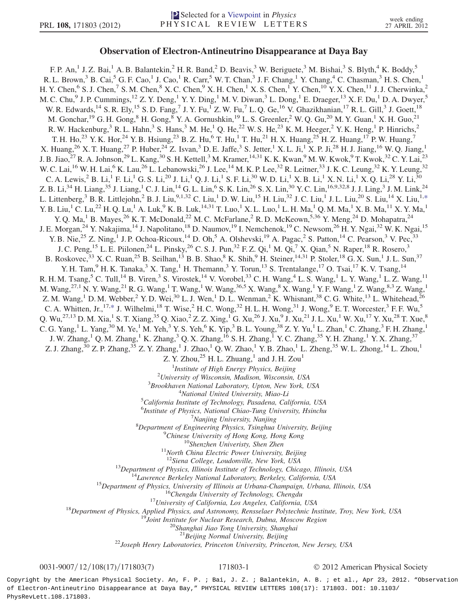## Observation of Electron-Antineutrino Disappearance at Daya Bay

<span id="page-0-0"></span>F. P. An,<sup>1</sup> J. Z. Bai,<sup>1</sup> A. B. Balantekin,<sup>2</sup> H. R. Band,<sup>2</sup> D. Beavis,<sup>3</sup> W. Beriguete,<sup>3</sup> M. Bishai,<sup>3</sup> S. Blyth,<sup>4</sup> K. Boddy,<sup>5</sup> R. L. Brown,<sup>3</sup> B. Cai,<sup>5</sup> G. F. Cao,<sup>1</sup> J. Cao,<sup>1</sup> R. Carr,<sup>5</sup> W. T. Chan,<sup>3</sup> J. F. Chang,<sup>1</sup> Y. Chang,<sup>4</sup> C. Chasman,<sup>3</sup> H. S. Chen,<sup>1</sup> H. Y. Chen,<sup>6</sup> S. J. Chen,<sup>7</sup> S. M. Chen,<sup>8</sup> X. C. Chen,<sup>9</sup> X. H. Chen,<sup>1</sup> X. S. Chen,<sup>1</sup> Y. Chen,<sup>10</sup> Y. X. Chen,<sup>11</sup> J. J. Cherwinka,<sup>2</sup> M. C. Chu,<sup>9</sup> J. P. Cummings,<sup>12</sup> Z. Y. Deng,<sup>1</sup> Y. Y. Ding,<sup>1</sup> M. V. Diwan,<sup>3</sup> L. Dong,<sup>1</sup> E. Draeger,<sup>13</sup> X. F. Du,<sup>1</sup> D. A. Dwyer,<sup>5</sup> W. R. Edwards,<sup>14</sup> S. R. Ely,<sup>15</sup> S. D. Fang,<sup>7</sup> J. Y. Fu,<sup>1</sup> Z. W. Fu,<sup>7</sup> L. Q. Ge,<sup>16</sup> V. Ghazikhanian,<sup>17</sup> R. L. Gill,<sup>3</sup> J. Goett,<sup>18</sup> M. Gonchar, <sup>19</sup> G. H. Gong, <sup>8</sup> H. Gong, <sup>8</sup> Y. A. Gornushkin, <sup>19</sup> L. S. Greenler, <sup>2</sup> W. Q. Gu, <sup>20</sup> M. Y. Guan, <sup>1</sup> X. H. Guo, <sup>21</sup> R. W. Hackenburg, <sup>3</sup> R. L. Hahn, <sup>3</sup> S. Hans, <sup>3</sup> M. He, <sup>1</sup> Q. He, <sup>22</sup> W. S. He, <sup>23</sup> K. M. Heeger, <sup>2</sup> Y. K. Heng, <sup>1</sup> P. Hinrichs, <sup>2</sup> T. H. Ho,<sup>23</sup> Y. K. Hor,<sup>24</sup> Y. B. Hsiung,<sup>23</sup> B. Z. Hu,<sup>6</sup> T. Hu,<sup>1</sup> T. Hu,<sup>21</sup> H. X. Huang,<sup>25</sup> H. Z. Huang,<sup>17</sup> P. W. Huang,<sup>7</sup> X. Huang,<sup>26</sup> X. T. Huang,<sup>27</sup> P. Huber,<sup>24</sup> Z. Isvan,<sup>3</sup> D. E. Jaffe,<sup>3</sup> S. Jetter,<sup>1</sup> X. L. Ji,<sup>1</sup> X. P. Ji,<sup>28</sup> H. J. Jiang,<sup>16</sup> W. Q. Jiang,<sup>1</sup> J. B. Jiao, <sup>27</sup> R. A. Johnson, <sup>29</sup> L. Kang, <sup>30</sup> S. H. Kettell, <sup>3</sup> M. Kramer, <sup>14,31</sup> K. K. Kwan, <sup>9</sup> M. W. Kwok, <sup>9</sup> T. Kwok, <sup>32</sup> C. Y. Lai, <sup>23</sup> W. C. Lai,<sup>16</sup> W. H. Lai,<sup>6</sup> K. Lau,<sup>26</sup> L. Lebanowski,<sup>26</sup> J. Lee,<sup>14</sup> M. K. P. Lee,<sup>32</sup> R. Leitner,<sup>33</sup> J. K. C. Leung,<sup>32</sup> K. Y. Leung,<sup>32</sup> C. A. Lewis,<sup>2</sup> B. Li,<sup>1</sup> F. Li,<sup>1</sup> G. S. Li,<sup>20</sup> J. Li,<sup>1</sup> Q. J. Li,<sup>1</sup> S. F. Li,<sup>30</sup> W. D. Li,<sup>1</sup> X. B. Li,<sup>1</sup> X. N. Li,<sup>1</sup> X. Q. Li,<sup>28</sup> Y. Li,<sup>30</sup> Z. B. Li,<sup>34</sup> H. Liang,<sup>35</sup> J. Liang,<sup>1</sup> C. J. Lin,<sup>14</sup> G. L. Lin,<sup>6</sup> S. K. Lin,<sup>26</sup> S. X. Lin,<sup>30</sup> Y. C. Lin,<sup>16,9,32,8</sup> J. J. Ling,<sup>3</sup> J. M. Link,<sup>24</sup> L. Littenberg,  $3$  B. R. Littlejohn,  $2$  B. J. Liu,  $9.1,32$  C. Liu,  $1$  D. W. Liu,  $15$  H. Liu,  $32$  J. C. Liu,  $1$  J. L. Liu,  $20$  S. Liu,  $14$  X. Liu,  $1, *$  $1, *$  $Y. B. Liu, ^1C. Lu, ^{22}H. Q. Lu, ^1A. Luk, ^9K. B. Luk, ^{14,31}T. Luo, ^1X. L. Luo, ^1L. H. Ma, ^1Q. M. Ma, ^1X. B. Ma, ^{11}X. Y. Ma, ^1A. Y. Ma, ^1B. Y. Y. Ma, ^1A. Y. Y. Ma, ^1A. Y. Y. Ma, ^1A. Y. Y. Ma, ^1A. Y. Y. Ma, ^1A. Y. Y. Ma, ^1A. Y. Y. Ma, ^1A. Y. Y. Ma, ^1A. Y. Y. Y. Y. Y. Y. Y. Y. Y. Y. Y. Y. Y. Y. Y. Y. Y. Y$ Y. Q. Ma,<sup>1</sup> B. Mayes,<sup>26</sup> K. T. McDonald,<sup>22</sup> M. C. McFarlane,<sup>2</sup> R. D. McKeown,<sup>5,36</sup> Y. Meng,<sup>24</sup> D. Mohapatra,<sup>24</sup> J. E. Morgan,<sup>24</sup> Y. Nakajima,<sup>14</sup> J. Napolitano,<sup>18</sup> D. Naumov,<sup>19</sup> I. Nemchenok,<sup>19</sup> C. Newsom,<sup>26</sup> H. Y. Ngai,<sup>32</sup> W. K. Ngai,<sup>15</sup> Y. B. Nie,<sup>25</sup> Z. Ning,<sup>1</sup> J. P. Ochoa-Ricoux,<sup>14</sup> D. Oh,<sup>5</sup> A. Olshevski,<sup>19</sup> A. Pagac,<sup>2</sup> S. Patton,<sup>14</sup> C. Pearson,<sup>3</sup> V. Pec,<sup>33</sup> J. C. Peng,<sup>15</sup> L. E. Piilonen,<sup>24</sup> L. Pinsky,<sup>26</sup> C. S. J. Pun,<sup>32</sup> F. Z. Qi,<sup>1</sup> M. Qi,<sup>7</sup> X. Qian,<sup>5</sup> N. Raper,<sup>18</sup> R. Rosero,<sup>3</sup> B. Roskovec,  $33$  X. C. Ruan,  $25$  B. Seilhan,  $13$  B. B. Shao,  $8$  K. Shih,  $9$  H. Steiner,  $14,31$  P. Stoler,  $18$  G. X. Sun,  $1$  J. L. Sun,  $37$ Y. H. Tam,  $9$  H. K. Tanaka,  $3$  X. Tang,  $1$  H. Themann,  $3$  Y. Torun,  $13$  S. Trentalange,  $17$  O. Tsai,  $17$  K. V. Tsang,  $14$ R. H. M. Tsang,<sup>5</sup> C. Tull,<sup>14</sup> B. Viren,<sup>3</sup> S. Virostek,<sup>14</sup> V. Vorobel,<sup>33</sup> C. H. Wang,<sup>4</sup> L. S. Wang,<sup>1</sup> L. Y. Wang,<sup>1</sup> L. Z. Wang,<sup>11</sup> M. Wang, <sup>27,1</sup> N. Y. Wang,<sup>21</sup> R. G. Wang,<sup>1</sup> T. Wang,<sup>1</sup> W. Wang,<sup>36,5</sup> X. Wang,<sup>8</sup> X. Wang,<sup>1</sup> Y. F. Wang,<sup>1</sup> Z. Wang,<sup>8,3</sup> Z. Wang,<sup>1</sup> Z. M. Wang,<sup>1</sup> D. M. Webber,<sup>2</sup> Y. D. Wei,<sup>30</sup> L. J. Wen,<sup>1</sup> D. L. Wenman,<sup>2</sup> K. Whisnant,<sup>38</sup> C. G. White,<sup>13</sup> L. Whitehead,<sup>26</sup> C. A. Whitten, Jr.,<sup>17,[\\*](#page-6-0)</sup> J. Wilhelmi,<sup>18</sup> T. Wise,<sup>2</sup> H. C. Wong,<sup>32</sup> H. L. H. Wong,<sup>31</sup> J. Wong,<sup>9</sup> E. T. Worcester,<sup>3</sup> F. F. Wu,<sup>5</sup> Q. Wu,<sup>27,13</sup> D. M. Xia,<sup>1</sup> S. T. Xiang,<sup>35</sup> Q. Xiao,<sup>2</sup> Z. Z. Xing,<sup>1</sup> G. Xu,<sup>26</sup> J. Xu,<sup>9</sup> J. Xu,<sup>21</sup> J. L. Xu,<sup>1</sup> W. Xu,<sup>17</sup> Y. Xu,<sup>28</sup> T. Xue,<sup>8</sup> C. G. Yang,<sup>1</sup> L. Yang,<sup>30</sup> M. Ye,<sup>1</sup> M. Yeh,<sup>3</sup> Y. S. Yeh,<sup>6</sup> K. Yip,<sup>3</sup> B. L. Young,<sup>38</sup> Z. Y. Yu,<sup>1</sup> L. Zhan,<sup>1</sup> C. Zhang,<sup>3</sup> F. H. Zhang,<sup>1</sup> J. W. Zhang,<sup>1</sup> Q. M. Zhang,<sup>1</sup> K. Zhang,<sup>3</sup> Q. X. Zhang,<sup>16</sup> S. H. Zhang,<sup>1</sup> Y. C. Zhang,<sup>35</sup> Y. H. Zhang,<sup>1</sup> Y. X. Zhang,<sup>37</sup> Z. J. Zhang,  $30$  Z. P. Zhang,  $35$  Z. Y. Zhang,<sup>1</sup> J. Zhao,<sup>1</sup> Q. W. Zhao,<sup>1</sup> Y. B. Zhao,<sup>1</sup> L. Zheng,  $35$  W. L. Zhong,  $14$  L. Zhou,<sup>1</sup> Z. Y. Zhou, $^{25}$  H. L. Zhuang,<sup>1</sup> and J. H. Zou<sup>1</sup> <sup>1</sup>Institute of High Energy Physics, Beijing  $\frac{1}{2}$ Institute of High Energy Physics, Beijing  $\frac{2}{2}$ *Injugrain* of Wisconsin Madison Wisconsin University of Wisconsin, Madison, Wisconsin, USA<br> $\frac{3}{8}$ Brookhayan National Laboratory, Unton, Nay York, L  $3B$ rookhaven National Laboratory, Upton, New York, USA <sup>4</sup>National United University, Miao-Li California Institute of Technology, Pasadena, California, USA <sup>6</sup>Institute of Physics, National Chiao-Tung University, Hsinchu <sup>2</sup>Nanjing University, Nanjing<br><sup>8</sup>Department of Engineering Physics, Tsinghua Department of Engineering Physics, Tsinghua University, Beijing<br><sup>9</sup>Chinese University of Hong Kong, Hong Kong <sup>9</sup>Chinese University of Hong Kong, Hong Kong<br><sup>10</sup>Shenzhen Univeristy, Shen Zhen<br><sup>11</sup>North China Electric Power University, Beijing<br><sup>12</sup>Siena College, Loudonville, New York, USA <sup>13</sup>Department of Physics, Illinois Institute of Technology, Chicago, Illinois, USA<br><sup>14</sup>Lawrence Berkeley National Laboratory, Berkeley, California, USA<br><sup>15</sup>Department of Physics, University of Illinois at Urbana-Champaig <sup>21</sup>Beijing Normal University, Beijing<br><sup>22</sup>Joseph Henry Laboratories, Princeton University, Princeton, New Jersey, USA

## 0031-9007/12/108(17)/171803(7) 171803-1 © 2012 American Physical Society

Copyright by the American Physical Society. An, F. P. ; Bai, J. Z. ; Balantekin, A. B. ; et al., Apr 23, 2012. "Observation of Electron-Antineutrino Disappearance at Daya Bay," PHYSICAL REVIEW LETTERS 108(17): 171803. DOI: 10.1103/ PhysRevLett.108.171803.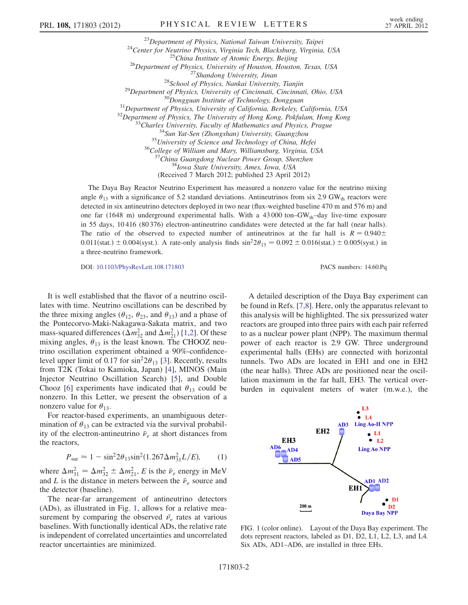<sup>23</sup>Department of Physics, National Taiwan University, Taipei<br><sup>24</sup>Center for Neutrino Physics, Virginia Tech, Blacksburg, Virginia, USA<br><sup>25</sup>China Institute of Atomic Energy, Beijing<br><sup>26</sup>Department of Physics, University o <sup>36</sup>College of William and Mary, Williamsburg, Virginia, USA<br><sup>37</sup>China Guangdong Nuclear Power Group, Shenzhen<br><sup>38</sup>Iowa State University, Ames, Iowa, USA (Received 7 March 2012; published 23 April 2012)

The Daya Bay Reactor Neutrino Experiment has measured a nonzero value for the neutrino mixing angle  $\theta_{13}$  with a significance of 5.2 standard deviations. Antineutrinos from six 2.9 GW<sub>th</sub> reactors were detected in six antineutrino detectors deployed in two near (flux-weighted baseline 470 m and 576 m) and one far (1648 m) underground experimental halls. With a 43 000 ton–GW<sub>th</sub>–day live-time exposure in 55 days, 10 416 (80 376) electron-antineutrino candidates were detected at the far hall (near halls). The ratio of the observed to expected number of antineutrinos at the far hall is  $R = 0.940 \pm 1.005$ 0.011(stat.)  $\pm$  0.004(syst.). A rate-only analysis finds sin<sup>2</sup>2 $\theta_{13}$  = 0.092  $\pm$  0.016(stat.)  $\pm$  0.005(syst.) in a three-neutrino framework.

DOI: [10.1103/PhysRevLett.108.171803](http://dx.doi.org/10.1103/PhysRevLett.108.171803) PACS numbers: 14.60.Pq

It is well established that the flavor of a neutrino oscillates with time. Neutrino oscillations can be described by the three mixing angles ( $\theta_{12}$ ,  $\theta_{23}$ , and  $\theta_{13}$ ) and a phase of the Pontecorvo-Maki-Nakagawa-Sakata matrix, and two mass-squared differences  $(\Delta m_{32}^2$  $(\Delta m_{32}^2$  $(\Delta m_{32}^2$  and  $\Delta m_{21}^2)$  [\[1,](#page-6-1)2]. Of these mixing angles,  $\theta_{13}$  is the least known. The CHOOZ neutrino oscillation experiment obtained a 90%-confidencelevel upper limit of 0.17 for  $\sin^2 2\theta_{13}$  [\[3\]](#page-6-3). Recently, results from T2K (Tokai to Kamioka, Japan) [[4\]](#page-6-4), MINOS (Main Injector Neutrino Oscillation Search) [[5\]](#page-6-5), and Double Chooz [[6](#page-6-6)] experiments have indicated that  $\theta_{13}$  could be nonzero. In this Letter, we present the observation of a nonzero value for  $\theta_{13}$ .

For reactor-based experiments, an unambiguous determination of  $\theta_{13}$  can be extracted via the survival probability of the electron-antineutrino  $\bar{\nu}_e$  at short distances from the reactors,

$$
P_{\text{sur}} \approx 1 - \sin^2 2\theta_{13} \sin^2 (1.267 \Delta m_{31}^2 L/E), \tag{1}
$$

where  $\Delta m_{31}^2 = \Delta m_{32}^2 \pm \Delta m_{21}^2$ , E is the  $\bar{\nu}_e$  energy in MeV and L is the distance in meters between the  $\bar{\nu}_e$  source and the detector (baseline).

The near-far arrangement of antineutrino detectors (ADs), as illustrated in Fig. [1,](#page-1-0) allows for a relative measurement by comparing the observed  $\bar{v}_e$  rates at various baselines. With functionally identical ADs, the relative rate is independent of correlated uncertainties and uncorrelated reactor uncertainties are minimized.

A detailed description of the Daya Bay experiment can be found in Refs. [\[7](#page-6-7)[,8\]](#page-6-8). Here, only the apparatus relevant to this analysis will be highlighted. The six pressurized water reactors are grouped into three pairs with each pair referred to as a nuclear power plant (NPP). The maximum thermal power of each reactor is 2.9 GW. Three underground experimental halls (EHs) are connected with horizontal tunnels. Two ADs are located in EH1 and one in EH2 (the near halls). Three ADs are positioned near the oscillation maximum in the far hall, EH3. The vertical overburden in equivalent meters of water (m.w.e.), the

<span id="page-1-0"></span>

FIG. 1 (color online). Layout of the Daya Bay experiment. The dots represent reactors, labeled as D1, D2, L1, L2, L3, and L4. Six ADs, AD1–AD6, are installed in three EHs.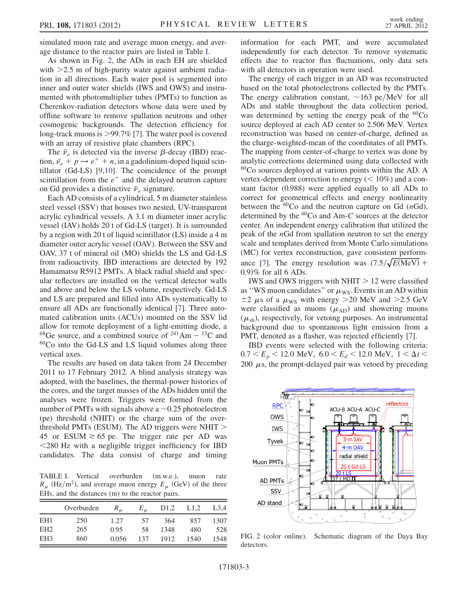simulated muon rate and average muon energy, and average distance to the reactor pairs are listed in Table [I](#page-2-0).

As shown in Fig. [2](#page-2-1), the ADs in each EH are shielded with  $\geq$ 2.5 m of high-purity water against ambient radiation in all directions. Each water pool is segmented into inner and outer water shields (IWS and OWS) and instrumented with photomultiplier tubes (PMTs) to function as Cherenkov-radiation detectors whose data were used by offline software to remove spallation neutrons and other cosmogenic backgrounds. The detection efficiency for long-track muons is >99:7% [\[7\]](#page-6-7). The water pool is covered with an array of resistive plate chambers (RPC).

The  $\bar{\nu}_e$  is detected via the inverse  $\beta$ -decay (IBD) reaction,  $\bar{\nu}_e + p \rightarrow e^+ + n$ , in a gadolinium-doped liquid scintillator (Gd-LS) [[9](#page-6-9),[10](#page-6-10)]. The coincidence of the prompt scintillation from the  $e^+$  and the delayed neutron capture on Gd provides a distinctive  $\bar{\nu}_e$  signature.

Each AD consists of a cylindrical, 5 m diameter stainless steel vessel (SSV) that houses two nested, UV-transparent acrylic cylindrical vessels. A 3.1 m diameter inner acrylic vessel (IAV) holds 20 t of Gd-LS (target). It is surrounded by a region with 20 t of liquid scintillator (LS) inside a 4 m diameter outer acrylic vessel (OAV). Between the SSV and OAV, 37 t of mineral oil (MO) shields the LS and Gd-LS from radioactivity. IBD interactions are detected by 192 Hamamatsu R5912 PMTs. A black radial shield and specular reflectors are installed on the vertical detector walls and above and below the LS volume, respectively. Gd-LS and LS are prepared and filled into ADs systematically to ensure all ADs are functionally identical [[7\]](#page-6-7). Three automated calibration units (ACUs) mounted on the SSV lid allow for remote deployment of a light-emitting diode, a <sup>68</sup>Ge source, and a combined source of <sup>241</sup>Am  $-$  <sup>13</sup>C and  $60Co$  into the Gd-LS and LS liquid volumes along three vertical axes.

The results are based on data taken from 24 December 2011 to 17 February 2012. A blind analysis strategy was adopted, with the baselines, the thermal-power histories of the cores, and the target masses of the ADs hidden until the analyses were frozen. Triggers were formed from the number of PMTs with signals above a  $\sim 0.25$  photoelectron (pe) threshold (NHIT) or the charge sum of the overthreshold PMTs (ESUM). The AD triggers were NHIT  $>$ 45 or ESUM  $\geq 65$  pe. The trigger rate per AD was <280 Hz with a negligible trigger inefficiency for IBD candidates. The data consist of charge and timing

<span id="page-2-0"></span>TABLE I. Vertical overburden (m.w.e.), muon rate  $R_{\mu}$  (Hz/m<sup>2</sup>), and average muon energy  $E_{\mu}$  (GeV) of the three EHs, and the distances (m) to the reactor pairs.

|                 | Overburden | $R_{\mu}$ | $E_{\mu}$ | D <sub>1</sub> ,2 | L1,2 | L3,4 |
|-----------------|------------|-----------|-----------|-------------------|------|------|
| EH <sub>1</sub> | 250        | 1.27      | 57        | 364               | 857  | 1307 |
| EH <sub>2</sub> | 265        | 0.95      | 58        | 1348              | 480  | 528  |
| EH <sub>3</sub> | 860        | 0.056     | 137       | 1912              | 1540 | 1548 |

information for each PMT, and were accumulated independently for each detector. To remove systematic effects due to reactor flux fluctuations, only data sets with all detectors in operation were used.

The energy of each trigger in an AD was reconstructed based on the total photoelectrons collected by the PMTs. The energy calibration constant,  $\sim$ 163 pe/MeV for all ADs and stable throughout the data collection period, was determined by setting the energy peak of the  $^{60}Co$ source deployed at each AD center to 2.506 MeV. Vertex reconstruction was based on center-of-charge, defined as the charge-weighted-mean of the coordinates of all PMTs. The mapping from center-of-charge to vertex was done by analytic corrections determined using data collected with  $60Co$  sources deployed at various points within the AD. A vertex-dependent correction to energy  $(< 10\%)$  and a constant factor (0.988) were applied equally to all ADs to correct for geometrical effects and energy nonlinearity between the  ${}^{60}Co$  and the neutron capture on Gd (nGd), determined by the  ${}^{60}Co$  and Am-C sources at the detector center. An independent energy calibration that utilized the peak of the  $nGd$  from spallation neutron to set the energy scale and templates derived from Monte Carlo simulations (MC) for vertex reconstruction, gave consistent perform-ance [\[7](#page-6-7)]. The energy resolution was  $(7.5/\sqrt{E(\text{MeV})} +$  $(0.9)$ % for all 6 ADs.

IWS and OWS triggers with NHIT  $> 12$  were classified as "WS muon candidates" or  $\mu_{\text{WS}}$ . Events in an AD within  $\pm$ 2  $\mu$ s of a  $\mu$ <sub>WS</sub> with energy >20 MeV and >2.5 GeV were classified as muons  $(\mu_{AD})$  and showering muons  $(\mu_{sh})$ , respectively, for vetoing purposes. An instrumental background due to spontaneous light emission from a PMT, denoted as a flasher, was rejected efficiently [[7](#page-6-7)].

IBD events were selected with the following criteria:  $0.7 < E_p < 12.0$  MeV,  $6.0 < E_d < 12.0$  MeV,  $1 < \Delta t <$ 200  $\mu$ s, the prompt-delayed pair was vetoed by preceding

<span id="page-2-1"></span>

FIG. 2 (color online). Schematic diagram of the Daya Bay detectors.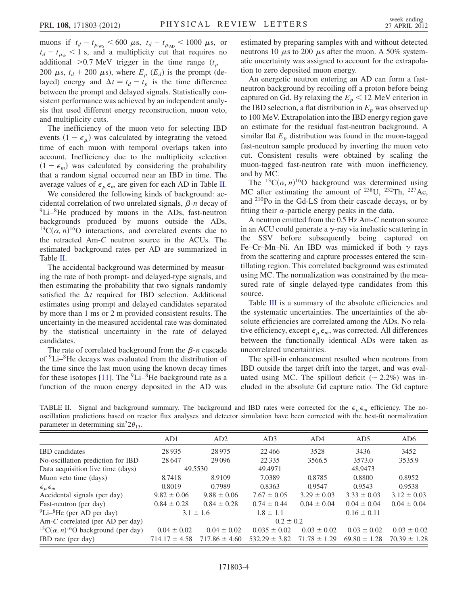muons if  $t_d - t_{\mu_{\text{WS}}} < 600 \mu s$ ,  $t_d - t_{\mu_{\text{AD}}} < 1000 \mu s$ , or  $t_d - t_{\mu_{sh}} < 1$  s, and a multiplicity cut that requires no additional >0.7 MeV trigger in the time range  $(t_p -$ 200  $\mu$ s,  $t_d$  + 200  $\mu$ s), where  $E_p$  ( $E_d$ ) is the prompt (delayed) energy and  $\Delta t = t_d - t_p$  is the time difference between the prompt and delayed signals. Statistically consistent performance was achieved by an independent analysis that used different energy reconstruction, muon veto, and multiplicity cuts.

The inefficiency of the muon veto for selecting IBD events  $(1 - \epsilon_{\mu})$  was calculated by integrating the vetoed time of each muon with temporal overlaps taken into account. Inefficiency due to the multiplicity selection  $(1 - \epsilon_m)$  was calculated by considering the probability that a random signal occurred near an IBD in time. The average values of  $\epsilon_{\mu} \epsilon_{m}$  are given for each AD in Table [II](#page-3-0).

We considered the following kinds of background: accidental correlation of two unrelated signals,  $\beta$ -*n* decay of  ${}^{9}$ Li– ${}^{8}$ He produced by muons in the ADs, fast-neutron backgrounds produced by muons outside the ADs,  $^{13}C(\alpha, n)^{16}$ O interactions, and correlated events due to the retracted Am-C neutron source in the ACUs. The estimated background rates per AD are summarized in Table [II](#page-3-0).

The accidental background was determined by measuring the rate of both prompt- and delayed-type signals, and then estimating the probability that two signals randomly satisfied the  $\Delta t$  required for IBD selection. Additional estimates using prompt and delayed candidates separated by more than 1 ms or 2 m provided consistent results. The uncertainty in the measured accidental rate was dominated by the statistical uncertainty in the rate of delayed candidates.

The rate of correlated background from the  $\beta$ -n cascade of 9Li–8He decays was evaluated from the distribution of the time since the last muon using the known decay times for these isotopes [\[11\]](#page-6-11). The  ${}^{9}$ Li– ${}^{8}$ He background rate as a function of the muon energy deposited in the AD was estimated by preparing samples with and without detected neutrons 10  $\mu$ s to 200  $\mu$ s after the muon. A 50% systematic uncertainty was assigned to account for the extrapolation to zero deposited muon energy.

An energetic neutron entering an AD can form a fastneutron background by recoiling off a proton before being captured on Gd. By relaxing the  $E_p < 12$  MeV criterion in the IBD selection, a flat distribution in  $E_p$  was observed up to 100 MeV. Extrapolation into the IBD energy region gave an estimate for the residual fast-neutron background. A similar flat  $E<sub>n</sub>$  distribution was found in the muon-tagged fast-neutron sample produced by inverting the muon veto cut. Consistent results were obtained by scaling the muon-tagged fast-neutron rate with muon inefficiency, and by MC.

The <sup>13</sup>C( $\alpha$ , n)<sup>16</sup>O background was determined using MC after estimating the amount of  $^{238}$ U,  $^{232}$ Th,  $^{227}$ Ac, and 210Po in the Gd-LS from their cascade decays, or by fitting their  $\alpha$ -particle energy peaks in the data.

A neutron emitted from the 0.5 Hz Am-C neutron source in an ACU could generate a  $\gamma$ -ray via inelastic scattering in the SSV before subsequently being captured on Fe–Cr–Mn–Ni. An IBD was mimicked if both  $\gamma$  rays from the scattering and capture processes entered the scintillating region. This correlated background was estimated using MC. The normalization was constrained by the measured rate of single delayed-type candidates from this source.

Table [III](#page-4-0) is a summary of the absolute efficiencies and the systematic uncertainties. The uncertainties of the absolute efficiencies are correlated among the ADs. No relative efficiency, except  $\epsilon_{\mu} \epsilon_{m}$ , was corrected. All differences between the functionally identical ADs were taken as uncorrelated uncertainties.

The spill-in enhancement resulted when neutrons from IBD outside the target drift into the target, and was evaluated using MC. The spillout deficit ( $\sim 2.2\%$ ) was included in the absolute Gd capture ratio. The Gd capture

<span id="page-3-0"></span>

|                                                  | TABLE II. Signal and background summary. The background and IBD rates were corrected for the $\epsilon_{\mu} \epsilon_{m}$ efficiency. The no- |  |  |  |  |  |  |
|--------------------------------------------------|------------------------------------------------------------------------------------------------------------------------------------------------|--|--|--|--|--|--|
|                                                  | oscillation predictions based on reactor flux analyses and detector simulation have been corrected with the best-fit normalization             |  |  |  |  |  |  |
| parameter in determining $\sin^2 2\theta_{13}$ . |                                                                                                                                                |  |  |  |  |  |  |

|                                                                     | AD1               | AD2               | AD3               | AD4              | AD <sub>5</sub>  | AD <sub>6</sub>  |  |
|---------------------------------------------------------------------|-------------------|-------------------|-------------------|------------------|------------------|------------------|--|
| <b>IBD</b> candidates                                               | 28935             | 28975             | 22466             | 3528             | 3436             | 3452             |  |
| No-oscillation prediction for IBD                                   | 28647             | 29096             | 22 3 3 5          | 3566.5           | 3573.0           | 3535.9           |  |
| Data acquisition live time (days)                                   | 49.5530           |                   | 49.4971           |                  | 48.9473          |                  |  |
| Muon veto time (days)                                               | 8.7418            | 8.9109            | 7.0389            | 0.8785           | 0.8800           | 0.8952           |  |
| $\epsilon_{\mu} \epsilon_{m}$                                       | 0.8019            | 0.7989            | 0.8363            | 0.9547           | 0.9543           | 0.9538           |  |
| Accidental signals (per day)                                        | $9.82 \pm 0.06$   | $9.88 \pm 0.06$   | $7.67 \pm 0.05$   | $3.29 \pm 0.03$  | $3.33 \pm 0.03$  | $3.12 \pm 0.03$  |  |
| Fast-neutron (per day)                                              | $0.84 \pm 0.28$   | $0.84 \pm 0.28$   | $0.74 \pm 0.44$   | $0.04 \pm 0.04$  | $0.04 \pm 0.04$  | $0.04 \pm 0.04$  |  |
| $^{9}$ Li- $^{8}$ He (per AD per day)                               | $3.1 \pm 1.6$     |                   | $1.8 \pm 1.1$     |                  | $0.16 \pm 0.11$  |                  |  |
| Am-C correlated (per AD per day)                                    |                   |                   | $0.2 \pm 0.2$     |                  |                  |                  |  |
| <sup>13</sup> C( $\alpha$ , n) <sup>16</sup> O background (per day) | $0.04 \pm 0.02$   | $0.04 \pm 0.02$   | $0.035 \pm 0.02$  | $0.03 \pm 0.02$  | $0.03 \pm 0.02$  | $0.03 \pm 0.02$  |  |
| <b>IBD</b> rate (per day)                                           | $714.17 \pm 4.58$ | $717.86 \pm 4.60$ | $532.29 \pm 3.82$ | $71.78 \pm 1.29$ | $69.80 \pm 1.28$ | $70.39 \pm 1.28$ |  |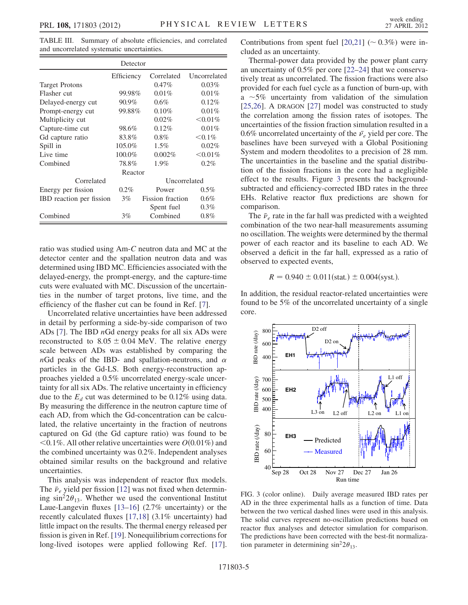<span id="page-4-0"></span>TABLE III. Summary of absolute efficiencies, and correlated and uncorrelated systematic uncertainties.

|                          | Detector   |                         |              |  |  |
|--------------------------|------------|-------------------------|--------------|--|--|
|                          | Efficiency | Correlated              | Uncorrelated |  |  |
| <b>Target Protons</b>    |            | $0.47\%$                | $0.03\%$     |  |  |
| Flasher cut              | 99.98%     | $0.01\%$                | $0.01\%$     |  |  |
| Delayed-energy cut       | 90.9%      | $0.6\%$                 | 0.12%        |  |  |
| Prompt-energy cut        | 99.88%     | $0.10\%$                | $0.01\%$     |  |  |
| Multiplicity cut         |            | 0.02%                   | $<,0.01\%$   |  |  |
| Capture-time cut         | 98.6%      | $0.12\%$                | 0.01%        |  |  |
| Gd capture ratio         | 83.8%      | $0.8\%$                 | $< 0.1\%$    |  |  |
| Spill in                 | 105.0%     | $1.5\%$                 | 0.02%        |  |  |
| Live time                | 100.0%     | 0.002%                  | $<,0.01\%$   |  |  |
| Combined                 | 78.8%      | 1.9%                    | $0.2\%$      |  |  |
|                          | Reactor    |                         |              |  |  |
| Correlated               |            | Uncorrelated            |              |  |  |
| Energy per fission       | $0.2\%$    | Power                   | $0.5\%$      |  |  |
| IBD reaction per fission | $3\%$      | <b>Fission</b> fraction | $0.6\%$      |  |  |
|                          |            | Spent fuel              | $0.3\%$      |  |  |
| Combined                 | $3\%$      | Combined                | $0.8\%$      |  |  |

ratio was studied using Am-C neutron data and MC at the detector center and the spallation neutron data and was determined using IBD MC. Efficiencies associated with the delayed-energy, the prompt-energy, and the capture-time cuts were evaluated with MC. Discussion of the uncertainties in the number of target protons, live time, and the efficiency of the flasher cut can be found in Ref. [\[7](#page-6-7)].

Uncorrelated relative uncertainties have been addressed in detail by performing a side-by-side comparison of two ADs [\[7\]](#page-6-7). The IBD  $nGd$  energy peaks for all six ADs were reconstructed to  $8.05 \pm 0.04$  MeV. The relative energy scale between ADs was established by comparing the  $nGd$  peaks of the IBD- and spallation-neutrons, and  $\alpha$ particles in the Gd-LS. Both energy-reconstruction approaches yielded a 0.5% uncorrelated energy-scale uncertainty for all six ADs. The relative uncertainty in efficiency due to the  $E_d$  cut was determined to be 0.12% using data. By measuring the difference in the neutron capture time of each AD, from which the Gd-concentration can be calculated, the relative uncertainty in the fraction of neutrons captured on Gd (the Gd capture ratio) was found to be  $\leq 0.1\%$ . All other relative uncertainties were  $O(0.01\%)$  and the combined uncertainty was 0.2%. Independent analyses obtained similar results on the background and relative uncertainties.

This analysis was independent of reactor flux models. The  $\bar{\nu}_e$  yield per fission [\[12\]](#page-6-12) was not fixed when determining  $\sin^2 2\theta_{13}$ . Whether we used the conventional Institut Laue-Langevin fluxes [[13](#page-6-13)–[16](#page-6-14)] (2.7% uncertainty) or the recently calculated fluxes [\[17,](#page-6-15)[18\]](#page-6-16) (3.1% uncertainty) had little impact on the results. The thermal energy released per fission is given in Ref. [[19](#page-6-17)]. Nonequilibrium corrections for long-lived isotopes were applied following Ref. [\[17\]](#page-6-15). Contributions from spent fuel  $[20,21]$  $[20,21]$  ( $\sim 0.3\%$ ) were included as an uncertainty.

Thermal-power data provided by the power plant carry an uncertainty of 0.5% per core [[22](#page-6-20)[–24\]](#page-6-21) that we conservatively treat as uncorrelated. The fission fractions were also provided for each fuel cycle as a function of burn-up, with a  $\sim$  5% uncertainty from validation of the simulation [\[25](#page-6-22)[,26\]](#page-6-23). A DRAGON [[27](#page-6-24)] model was constructed to study the correlation among the fission rates of isotopes. The uncertainties of the fission fraction simulation resulted in a 0.6% uncorrelated uncertainty of the  $\bar{v}_e$  yield per core. The baselines have been surveyed with a Global Positioning System and modern theodolites to a precision of 28 mm. The uncertainties in the baseline and the spatial distribution of the fission fractions in the core had a negligible effect to the results. Figure [3](#page-4-1) presents the backgroundsubtracted and efficiency-corrected IBD rates in the three EHs. Relative reactor flux predictions are shown for comparison.

The  $\bar{\nu}_e$  rate in the far hall was predicted with a weighted combination of the two near-hall measurements assuming no oscillation. The weights were determined by the thermal power of each reactor and its baseline to each AD. We observed a deficit in the far hall, expressed as a ratio of observed to expected events,

$$
R = 0.940 \pm 0.011(stat.) \pm 0.004(syst.).
$$

In addition, the residual reactor-related uncertainties were found to be 5% of the uncorrelated uncertainty of a single core.

<span id="page-4-1"></span>

FIG. 3 (color online). Daily average measured IBD rates per AD in the three experimental halls as a function of time. Data between the two vertical dashed lines were used in this analysis. The solid curves represent no-oscillation predictions based on reactor flux analyses and detector simulation for comparison. The predictions have been corrected with the best-fit normalization parameter in determining  $\sin^2 2\theta_{13}$ .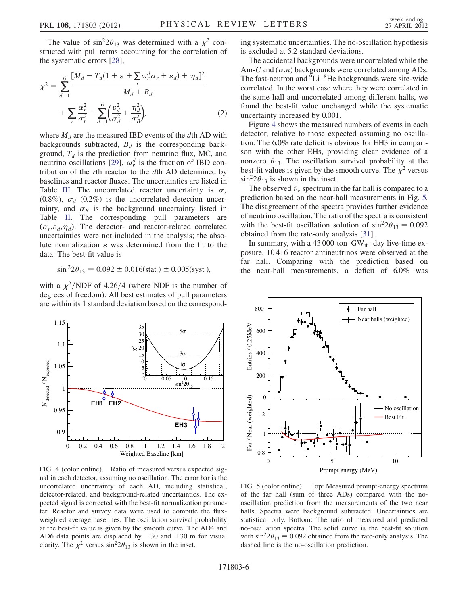The value of  $\sin^2 2\theta_{13}$  was determined with a  $\chi^2$  constructed with pull terms accounting for the correlation of the systematic errors [\[28\]](#page-6-25),

$$
\chi^{2} = \sum_{d=1}^{6} \frac{[M_{d} - T_{d}(1 + \varepsilon + \sum_{r} \omega_{r}^{d} \alpha_{r} + \varepsilon_{d}) + \eta_{d}]^{2}}{M_{d} + B_{d}}
$$

$$
+ \sum_{r} \frac{\alpha_{r}^{2}}{\sigma_{r}^{2}} + \sum_{d=1}^{6} \left(\frac{\varepsilon_{d}^{2}}{\sigma_{d}^{2}} + \frac{\eta_{d}^{2}}{\sigma_{B}^{2}}\right), \tag{2}
$$

where  $M_d$  are the measured IBD events of the dth AD with backgrounds subtracted,  $B_d$  is the corresponding background,  $T_d$  is the prediction from neutrino flux, MC, and neutrino oscillations [\[29\]](#page-6-26),  $\omega_r^d$  is the fraction of IBD contribution of the rth reactor to the dth AD determined by baselines and reactor fluxes. The uncertainties are listed in Table [III](#page-4-0). The uncorrelated reactor uncertainty is  $\sigma_r$ (0.8%),  $\sigma_d$  (0.2%) is the uncorrelated detection uncertainty, and  $\sigma_B$  is the background uncertainty listed in Table [II](#page-3-0). The corresponding pull parameters are  $(\alpha_r, \varepsilon_d, \eta_d)$ . The detector- and reactor-related correlated uncertainties were not included in the analysis; the absolute normalization  $\varepsilon$  was determined from the fit to the data. The best-fit value is

$$
\sin^2 2\theta_{13} = 0.092 \pm 0.016 \text{(stat.)} \pm 0.005 \text{(syst.)},
$$

with a  $\chi^2/NDF$  of 4.26/4 (where NDF is the number of degrees of freedom). All best estimates of pull parameters are within its 1 standard deviation based on the correspond-

<span id="page-5-0"></span>

FIG. 4 (color online). Ratio of measured versus expected signal in each detector, assuming no oscillation. The error bar is the uncorrelated uncertainty of each AD, including statistical, detector-related, and background-related uncertainties. The expected signal is corrected with the best-fit normalization parameter. Reactor and survey data were used to compute the fluxweighted average baselines. The oscillation survival probability at the best-fit value is given by the smooth curve. The AD4 and AD6 data points are displaced by  $-30$  and  $+30$  m for visual clarity. The  $\chi^2$  versus sin<sup>2</sup>2 $\theta_{13}$  is shown in the inset.

ing systematic uncertainties. The no-oscillation hypothesis is excluded at 5.2 standard deviations.

The accidental backgrounds were uncorrelated while the Am-C and  $(\alpha,n)$  backgrounds were correlated among ADs. The fast-neutron and  ${}^{9}$ Li– ${}^{8}$ He backgrounds were site-wide correlated. In the worst case where they were correlated in the same hall and uncorrelated among different halls, we found the best-fit value unchanged while the systematic uncertainty increased by 0.001.

Figure [4](#page-5-0) shows the measured numbers of events in each detector, relative to those expected assuming no oscillation. The 6.0% rate deficit is obvious for EH3 in comparison with the other EHs, providing clear evidence of a nonzero  $\theta_{13}$ . The oscillation survival probability at the best-fit values is given by the smooth curve. The  $\chi^2$  versus  $\sin^2 2\theta_{13}$  is shown in the inset.

The observed  $\bar{\nu}_e$  spectrum in the far hall is compared to a prediction based on the near-hall measurements in Fig. [5.](#page-5-1) The disagreement of the spectra provides further evidence of neutrino oscillation. The ratio of the spectra is consistent with the best-fit oscillation solution of  $\sin^2 2\theta_{13} = 0.092$ obtained from the rate-only analysis [[31](#page-6-27)].

In summary, with a  $43\,000$  ton–GW<sub>th</sub>–day live-time exposure, 10 416 reactor antineutrinos were observed at the far hall. Comparing with the prediction based on the near-hall measurements, a deficit of 6.0% was

<span id="page-5-1"></span>

FIG. 5 (color online). Top: Measured prompt-energy spectrum of the far hall (sum of three ADs) compared with the nooscillation prediction from the measurements of the two near halls. Spectra were background subtracted. Uncertainties are statistical only. Bottom: The ratio of measured and predicted no-oscillation spectra. The solid curve is the best-fit solution with  $\sin^2 2\theta_{13} = 0.092$  obtained from the rate-only analysis. The dashed line is the no-oscillation prediction.